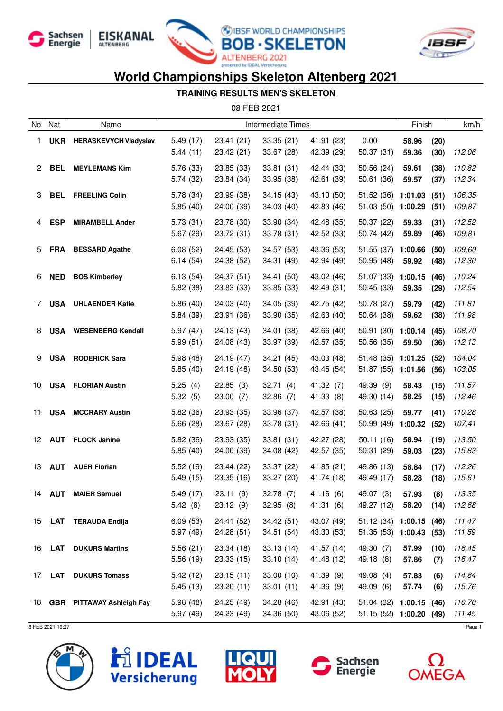







#### **TRAINING RESULTS MEN'S SKELETON**

08 FEB 2021

| No | Nat        | Name                         | Intermediate Times    |                          |                          | Finish                   |                                                     | km/h               |              |                  |
|----|------------|------------------------------|-----------------------|--------------------------|--------------------------|--------------------------|-----------------------------------------------------|--------------------|--------------|------------------|
| 1  | <b>UKR</b> | <b>HERASKEVYCH Vladyslav</b> | 5.49(17)<br>5.44(11)  | 23.41 (21)<br>23.42 (21) | 33.35(21)<br>33.67 (28)  | 41.91 (23)<br>42.39 (29) | 0.00<br>50.37(31)                                   | 58.96<br>59.36     | (20)<br>(30) | 112,06           |
| 2  | BEL        | <b>MEYLEMANS Kim</b>         | 5.76 (33)<br>5.74(32) | 23.85 (33)<br>23.84 (34) | 33.81(31)<br>33.95 (38)  | 42.44 (33)<br>42.61 (39) | 50.56(24)<br>50.61 (36)                             | 59.61<br>59.57     | (38)<br>(37) | 110,82<br>112,34 |
| 3  | <b>BEL</b> | <b>FREELING Colin</b>        | 5.78(34)<br>5.85(40)  | 23.99 (38)<br>24.00 (39) | 34.15(43)<br>34.03(40)   | 43.10 (50)<br>42.83 (46) | 51.52(36)<br>51.03 (50)                             | 1:01.03<br>1:00.29 | (51)<br>(51) | 106,35<br>109,87 |
| 4  | <b>ESP</b> | <b>MIRAMBELL Ander</b>       | 5.73(31)<br>5.67(29)  | 23.78 (30)<br>23.72 (31) | 33.90 (34)<br>33.78 (31) | 42.48 (35)<br>42.52 (33) | 50.37(22)<br>50.74 (42)                             | 59.33<br>59.89     | (31)<br>(46) | 112,52<br>109,81 |
| 5  | <b>FRA</b> | <b>BESSARD Agathe</b>        | 6.08(52)<br>6.14(54)  | 24.45 (53)<br>24.38 (52) | 34.57 (53)<br>34.31 (49) | 43.36 (53)<br>42.94 (49) | 51.55 (37)<br>50.95 (48)                            | 1:00.66<br>59.92   | (50)<br>(48) | 109,60<br>112,30 |
| 6  | <b>NED</b> | <b>BOS Kimberley</b>         | 6.13(54)<br>5.82 (38) | 24.37 (51)<br>23.83 (33) | 34.41 (50)<br>33.85 (33) | 43.02 (46)<br>42.49 (31) | 51.07 (33)<br>50.45(33)                             | 1:00.15<br>59.35   | (46)<br>(29) | 110,24<br>112,54 |
| 7  | <b>USA</b> | <b>UHLAENDER Katie</b>       | 5.86(40)<br>5.84 (39) | 24.03 (40)<br>23.91 (36) | 34.05 (39)<br>33.90 (35) | 42.75 (42)<br>42.63 (40) | 50.78 (27)<br>50.64 (38)                            | 59.79<br>59.62     | (42)<br>(38) | 111,81<br>111,98 |
| 8  |            | <b>USA</b> WESENBERG Kendall | 5.97(47)<br>5.99(51)  | 24.13 (43)<br>24.08 (43) | 34.01 (38)<br>33.97 (39) | 42.66 (40)<br>42.57 (35) | 50.91 (30)<br>50.56 (35)                            | 1:00.14<br>59.50   | (45)<br>(36) | 108,70<br>112,13 |
| 9  |            | <b>USA RODERICK Sara</b>     | 5.98(48)<br>5.85(40)  | 24.19 (47)<br>24.19 (48) | 34.21(45)<br>34.50 (53)  | 43.03 (48)<br>43.45 (54) | 51.48 (35) 1:01.25<br>51.87 (55)                    | 1:01.56            | (52)<br>(56) | 104,04<br>103,05 |
| 10 |            | <b>USA FLORIAN Austin</b>    | 5.25(4)<br>5.32(5)    | 22.85(3)<br>23.00(7)     | 32.71(4)<br>32.86(7)     | 41.32 (7)<br>41.33 (8)   | 49.39 (9)<br>49.30 (14)                             | 58.43<br>58.25     | (15)<br>(15) | 111,57<br>112,46 |
| 11 | <b>USA</b> | <b>MCCRARY Austin</b>        | 5.82(36)<br>5.66(28)  | 23.93 (35)<br>23.67 (28) | 33.96 (37)<br>33.78 (31) | 42.57 (38)<br>42.66 (41) | 50.63(25)<br>50.99 (49)                             | 59.77<br>1:00.32   | (41)<br>(52) | 110,28<br>107,41 |
| 12 |            | <b>AUT</b> FLOCK Janine      | 5.82 (36)<br>5.85(40) | 23.93 (35)<br>24.00 (39) | 33.81(31)<br>34.08 (42)  | 42.27 (28)<br>42.57 (35) | 50.11(16)<br>50.31 (29)                             | 58.94<br>59.03     | (19)<br>(23) | 113,50<br>115,83 |
| 13 |            | <b>AUT</b> AUER Florian      | 5.52(19)<br>5.49(15)  | 23.44 (22)<br>23.35 (16) | 33.37 (22)<br>33.27 (20) | 41.85 (21)<br>41.74 (18) | 49.86 (13)<br>49.49 (17)                            | 58.84<br>58.28     | (17)<br>(18) | 112,26<br>115,61 |
| 14 | AUT        | <b>MAIER Samuel</b>          | 5.49 (17)<br>5.42(8)  | 23.11 (9)<br>23.12(9)    | 32.78 (7)<br>32.95(8)    | 41.16 (6)<br>41.31(6)    | 49.07 (3)<br>49.27 (12) 58.20 (14)                  | 57.93              | (8)          | 113,35<br>112,68 |
|    |            | 15 LAT TERAUDA Endija        | 6.09(53)<br>5.97(49)  | 24.41 (52)<br>24.28(51)  | 34.42(51)<br>34.51(54)   | 43.07 (49)<br>43.30 (53) | $51.12(34)$ 1:00.15 (46)<br>51.35 (53) 1:00.43 (53) |                    |              | 111,47<br>111,59 |
|    |            | 16 LAT DUKURS Martins        | 5.56(21)<br>5.56(19)  | 23.34(18)<br>23.33(15)   | 33.13(14)<br>33.10(14)   | 41.57 (14)<br>41.48 (12) | 49.30 (7)<br>49.18 (8)                              | 57.99<br>57.86     | (10)<br>(7)  | 116,45<br>116,47 |
|    |            | 17 LAT DUKURS Tomass         | 5.42(12)<br>5.45(13)  | 23.15(11)<br>23.20 (11)  | 33.00(10)<br>33.01(11)   | 41.39 (9)<br>41.36 (9)   | 49.08 (4)<br>49.09 (6)                              | 57.83<br>57.74     | (6)<br>(6)   | 114,84<br>115,76 |
|    |            | 18 GBR PITTAWAY Ashleigh Fay | 5.98(48)<br>5.97(49)  | 24.25 (49)<br>24.23 (49) | 34.28 (46)<br>34.36 (50) | 42.91 (43)<br>43.06 (52) | $51.04(32)$ 1:00.15 (46)<br>51.15 (52) 1:00.20 (49) |                    |              | 110,70<br>111,45 |









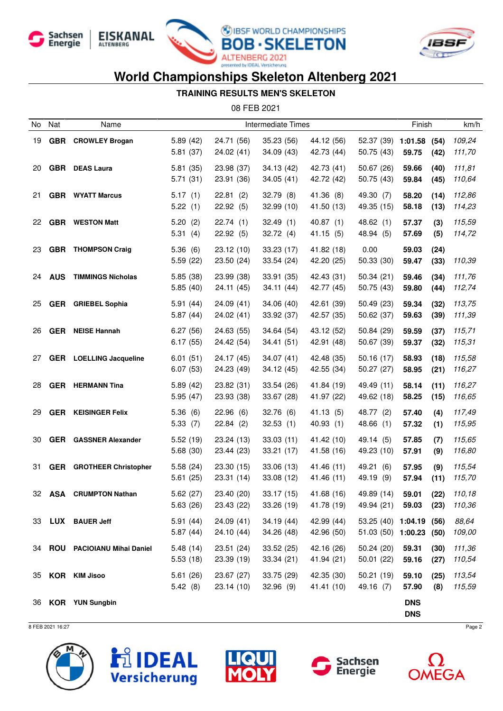







#### **TRAINING RESULTS MEN'S SKELETON**

08 FEB 2021

| No | Nat        | Name                            | Intermediate Times   |                          |                          |                          |                                                    | Finish                   |              | km/h             |
|----|------------|---------------------------------|----------------------|--------------------------|--------------------------|--------------------------|----------------------------------------------------|--------------------------|--------------|------------------|
| 19 | <b>GBR</b> | <b>CROWLEY Brogan</b>           | 5.89(42)<br>5.81(37) | 24.71 (56)<br>24.02 (41) | 35.23 (56)<br>34.09 (43) | 44.12 (56)<br>42.73 (44) | 52.37 (39) 1:01.58<br>50.75(43)                    | 59.75                    | (54)<br>(42) | 109,24<br>111,70 |
| 20 |            | <b>GBR</b> DEAS Laura           | 5.81(35)<br>5.71(31) | 23.98 (37)<br>23.91 (36) | 34.13 (42)<br>34.05(41)  | 42.73 (41)<br>42.72 (42) | 50.67 (26)<br>50.75 (43)                           | 59.66<br>59.84           | (40)<br>(45) | 111,81<br>110,64 |
| 21 |            | <b>GBR</b> WYATT Marcus         | 5.17(1)<br>5.22(1)   | 22.81(2)<br>22.92(5)     | 32.79(8)<br>32.99 (10)   | 41.36 (8)<br>41.50 (13)  | 49.30 (7)<br>49.35 (15)                            | 58.20<br>58.18           | (14)<br>(13) | 112,86<br>114,23 |
| 22 |            | <b>GBR</b> WESTON Matt          | 5.20(2)<br>5.31(4)   | 22.74(1)<br>22.92(5)     | 32.49(1)<br>32.72(4)     | 40.87(1)<br>41.15(5)     | 48.62(1)<br>48.94 (5)                              | 57.37<br>57.69           | (3)<br>(5)   | 115,59<br>114,72 |
| 23 |            | <b>GBR</b> THOMPSON Craig       | 5.36(6)<br>5.59(22)  | 23.12 (10)<br>23.50 (24) | 33.23(17)<br>33.54(24)   | 41.82 (18)<br>42.20 (25) | 0.00<br>50.33 (30)                                 | 59.03<br>59.47           | (24)<br>(33) | 110,39           |
| 24 | <b>AUS</b> | <b>TIMMINGS Nicholas</b>        | 5.85(38)<br>5.85(40) | 23.99 (38)<br>24.11 (45) | 33.91 (35)<br>34.11(44)  | 42.43 (31)<br>42.77 (45) | 50.34(21)<br>50.75(43)                             | 59.46<br>59.80           | (34)<br>(44) | 111,76<br>112,74 |
| 25 |            | <b>GER</b> GRIEBEL Sophia       | 5.91(44)<br>5.87(44) | 24.09 (41)<br>24.02 (41) | 34.06 (40)<br>33.92 (37) | 42.61 (39)<br>42.57 (35) | 50.49(23)<br>50.62 (37)                            | 59.34<br>59.63           | (32)<br>(39) | 113,75<br>111,39 |
| 26 | <b>GER</b> | <b>NEISE Hannah</b>             | 6.27(56)<br>6.17(55) | 24.63 (55)<br>24.42 (54) | 34.64 (54)<br>34.41 (51) | 43.12 (52)<br>42.91 (48) | 50.84 (29)<br>50.67 (39)                           | 59.59<br>59.37           | (37)<br>(32) | 115,71<br>115,31 |
| 27 |            | <b>GER</b> LOELLING Jacqueline  | 6.01(51)<br>6.07(53) | 24.17 (45)<br>24.23 (49) | 34.07(41)<br>34.12(45)   | 42.48 (35)<br>42.55 (34) | 50.16(17)<br>50.27 (27)                            | 58.93<br>58.95           | (18)<br>(21) | 115,58<br>116,27 |
| 28 |            | <b>GER</b> HERMANN Tina         | 5.89(42)<br>5.95(47) | 23.82 (31)<br>23.93 (38) | 33.54 (26)<br>33.67 (28) | 41.84 (19)<br>41.97 (22) | 49.49 (11)<br>49.62 (18)                           | 58.14<br>58.25           | (11)<br>(15) | 116,27<br>116,65 |
| 29 | <b>GER</b> | <b>KEISINGER Felix</b>          | 5.36(6)<br>5.33(7)   | 22.96(6)<br>22.84(2)     | 32.76(6)<br>32.53(1)     | 41.13 (5)<br>40.93(1)    | 48.77 (2)<br>48.66 (1)                             | 57.40<br>57.32           | (4)<br>(1)   | 117,49<br>115,95 |
| 30 |            | <b>GER</b> GASSNER Alexander    | 5.52(19)<br>5.68(30) | 23.24 (13)<br>23.44 (23) | 33.03(11)<br>33.21 (17)  | 41.42 (10)<br>41.58 (16) | 49.14 (5)<br>49.23 (10)                            | 57.85<br>57.91           | (7)<br>(9)   | 115,65<br>116,80 |
| 31 |            | <b>GER</b> GROTHEER Christopher | 5.58(24)<br>5.61(25) | 23.30 (15)<br>23.31 (14) | 33.06 (13)<br>33.08(12)  | 41.46 (11)<br>41.46 (11) | 49.21 (6)<br>49.19 (9)                             | 57.95<br>57.94           | (9)<br>(11)  | 115,54<br>115,70 |
| 32 | ASA        | <b>CRUMPTON Nathan</b>          | 5.62(27)<br>5.63(26) | 23.40 (20)<br>23.43 (22) | 33.17 (15)<br>33.26(19)  | 41.68 (16)<br>41.78 (19) | 49.89 (14)<br>49.94 (21) 59.03 (23)                | 59.01                    | (22)         | 110,18<br>110,36 |
|    |            | 33 LUX BAUER Jeff               | 5.91(44)<br>5.87(44) | 24.09(41)<br>24.10(44)   | 34.19(44)<br>34.26 (48)  | 42.99 (44)<br>42.96 (50) | 53.25 (40) 1:04.19 (56)<br>51.03 (50) 1:00.23 (50) |                          |              | 88,64<br>109,00  |
|    |            | 34 ROU PACIOIANU Mihai Daniel   | 5.48(14)<br>5.53(18) | 23.51(24)<br>23.39(19)   | 33.52(25)<br>33.34(21)   | 42.16 (26)<br>41.94 (21) | 50.24(20)<br>50.01(22)                             | 59.31<br>59.16           | (30)<br>(27) | 111,36<br>110,54 |
|    |            | 35 KOR KIM Jisoo                | 5.61(26)<br>5.42(8)  | 23.67 (27)<br>23.14(10)  | 33.75(29)<br>32.96(9)    | 42.35 (30)<br>41.41 (10) | 50.21(19)<br>49.16(7)                              | 59.10<br>57.90           | (25)<br>(8)  | 113,54<br>115,59 |
|    |            | 36 KOR YUN Sungbin              |                      |                          |                          |                          |                                                    | <b>DNS</b><br><b>DNS</b> |              |                  |







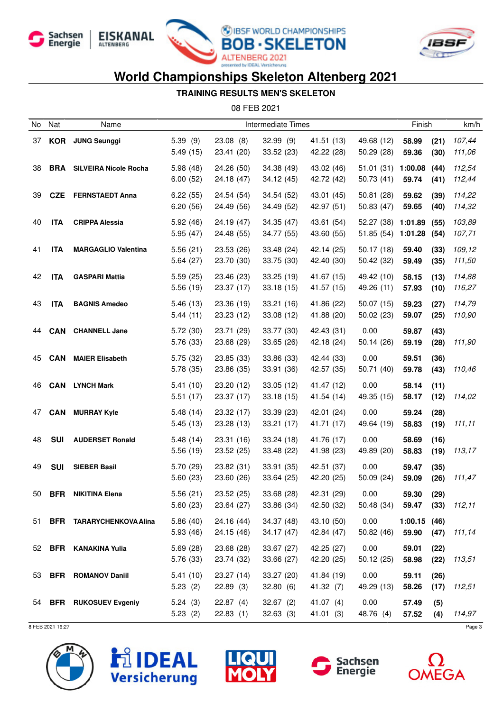







#### **TRAINING RESULTS MEN'S SKELETON**

08 FEB 2021

| No | Nat        | Name                             |                        |                          | Intermediate Times       |                          |                                          | Finish               |              | km/h             |
|----|------------|----------------------------------|------------------------|--------------------------|--------------------------|--------------------------|------------------------------------------|----------------------|--------------|------------------|
| 37 | <b>KOR</b> | <b>JUNG Seunggi</b>              | 5.39(9)<br>5.49(15)    | 23.08(8)<br>23.41 (20)   | 32.99(9)<br>33.52(23)    | 41.51 (13)<br>42.22 (28) | 49.68 (12)<br>50.29 (28)                 | 58.99<br>59.36       | (21)<br>(30) | 107,44<br>111,06 |
| 38 |            | <b>BRA</b> SILVEIRA Nicole Rocha | 5.98(48)<br>6.00(52)   | 24.26 (50)<br>24.18 (47) | 34.38 (49)<br>34.12 (45) | 43.02 (46)<br>42.72 (42) | 51.01 (31) 1:00.08<br>50.73(41)          | 59.74                | (44)<br>(41) | 112,54<br>112,44 |
| 39 | <b>CZE</b> | <b>FERNSTAEDT Anna</b>           | 6.22(55)<br>6.20(56)   | 24.54 (54)<br>24.49 (56) | 34.54(52)<br>34.49 (52)  | 43.01 (45)<br>42.97 (51) | 50.81(28)<br>50.83 (47)                  | 59.62<br>59.65       | (39)<br>(40) | 114,22<br>114,32 |
| 40 | <b>ITA</b> | <b>CRIPPA Alessia</b>            | 5.92(46)<br>5.95(47)   | 24.19 (47)<br>24.48 (55) | 34.35 (47)<br>34.77 (55) | 43.61 (54)<br>43.60 (55) | 52.27 (38) 1:01.89<br>51.85 (54) 1:01.28 |                      | (55)<br>(54) | 103,89<br>107,71 |
| 41 | <b>ITA</b> | <b>MARGAGLIO Valentina</b>       | 5.56(21)<br>5.64(27)   | 23.53 (26)<br>23.70 (30) | 33.48 (24)<br>33.75 (30) | 42.14 (25)<br>42.40 (30) | 50.17(18)<br>50.42 (32)                  | 59.40<br>59.49       | (33)<br>(35) | 109,12<br>111,50 |
| 42 | <b>ITA</b> | <b>GASPARI Mattia</b>            | 5.59(25)<br>5.56(19)   | 23.46 (23)<br>23.37 (17) | 33.25(19)<br>33.18(15)   | 41.67 (15)<br>41.57 (15) | 49.42 (10)<br>49.26 (11)                 | 58.15<br>57.93       | (13)<br>(10) | 114,88<br>116,27 |
| 43 | <b>ITA</b> | <b>BAGNIS Amedeo</b>             | 5.46(13)<br>5.44(11)   | 23.36 (19)<br>23.23 (12) | 33.21(16)<br>33.08(12)   | 41.86 (22)<br>41.88 (20) | 50.07(15)<br>50.02(23)                   | 59.23<br>59.07       | (27)<br>(25) | 114,79<br>110,90 |
| 44 | <b>CAN</b> | <b>CHANNELL Jane</b>             | 5.72 (30)<br>5.76 (33) | 23.71 (29)<br>23.68 (29) | 33.77 (30)<br>33.65(26)  | 42.43 (31)<br>42.18 (24) | 0.00<br>50.14(26)                        | 59.87<br>59.19       | (43)<br>(28) | 111,90           |
| 45 | <b>CAN</b> | <b>MAIER Elisabeth</b>           | 5.75(32)<br>5.78 (35)  | 23.85 (33)<br>23.86 (35) | 33.86 (33)<br>33.91 (36) | 42.44 (33)<br>42.57 (35) | 0.00<br>50.71 (40)                       | 59.51<br>59.78       | (36)<br>(43) | 110,46           |
| 46 | <b>CAN</b> | <b>LYNCH Mark</b>                | 5.41(10)<br>5.51(17)   | 23.20 (12)<br>23.37 (17) | 33.05 (12)<br>33.18(15)  | 41.47 (12)<br>41.54 (14) | 0.00<br>49.35 (15)                       | 58.14<br>58.17       | (11)<br>(12) | 114,02           |
| 47 | <b>CAN</b> | <b>MURRAY Kyle</b>               | 5.48(14)<br>5.45(13)   | 23.32 (17)<br>23.28 (13) | 33.39(23)<br>33.21(17)   | 42.01 (24)<br>41.71 (17) | 0.00<br>49.64 (19)                       | 59.24<br>58.83       | (28)<br>(19) | 111,11           |
| 48 | <b>SUI</b> | <b>AUDERSET Ronald</b>           | 5.48(14)<br>5.56(19)   | 23.31 (16)<br>23.52 (25) | 33.24(18)<br>33.48 (22)  | 41.76 (17)<br>41.98 (23) | 0.00<br>49.89 (20)                       | 58.69<br>58.83       | (16)<br>(19) | 113,17           |
| 49 | <b>SUI</b> | <b>SIEBER Basil</b>              | 5.70 (29)<br>5.60(23)  | 23.82 (31)<br>23.60 (26) | 33.91 (35)<br>33.64(25)  | 42.51 (37)<br>42.20 (25) | 0.00<br>50.09 (24)                       | 59.47<br>59.09       | (35)<br>(26) | 111,47           |
| 50 | <b>BFR</b> | <b>NIKITINA Elena</b>            | 5.56(21)<br>5.60(23)   | 23.52 (25)<br>23.64 (27) | 33.68 (28)<br>33.86 (34) | 42.31 (29)<br>42.50 (32) | 0.00<br>50.48 (34)                       | 59.30<br>59.47       | (29)<br>(33) | 112,11           |
| 51 |            | <b>BFR TARARYCHENKOVA Alina</b>  | 5.86(40)<br>5.93(46)   | 24.16 (44)<br>24.15 (46) | 34.37 (48)<br>34.17(47)  | 43.10 (50)<br>42.84 (47) | 0.00<br>50.82(46)                        | 1:00.15(46)<br>59.90 | (47)         | 111,14           |
| 52 |            | <b>BFR</b> KANAKINA Yulia        | 5.69(28)<br>5.76 (33)  | 23.68 (28)<br>23.74 (32) | 33.67 (27)<br>33.66 (27) | 42.25 (27)<br>42.20 (25) | 0.00<br>50.12(25)                        | 59.01<br>58.98       | (22)<br>(22) | 113,51           |
| 53 | <b>BFR</b> | <b>ROMANOV Daniil</b>            | 5.41(10)<br>5.23(2)    | 23.27 (14)<br>22.89(3)   | 33.27 (20)<br>32.80(6)   | 41.84 (19)<br>41.32(7)   | 0.00<br>49.29 (13)                       | 59.11<br>58.26       | (26)<br>(17) | 112,51           |
| 54 |            | <b>BFR</b> RUKOSUEV Evgeniy      | 5.24(3)<br>5.23(2)     | 22.87(4)<br>22.83(1)     | 32.67(2)<br>32.63(3)     | 41.07 $(4)$<br>41.01(3)  | 0.00<br>48.76 (4)                        | 57.49<br>57.52       | (5)<br>(4)   | 114,97           |